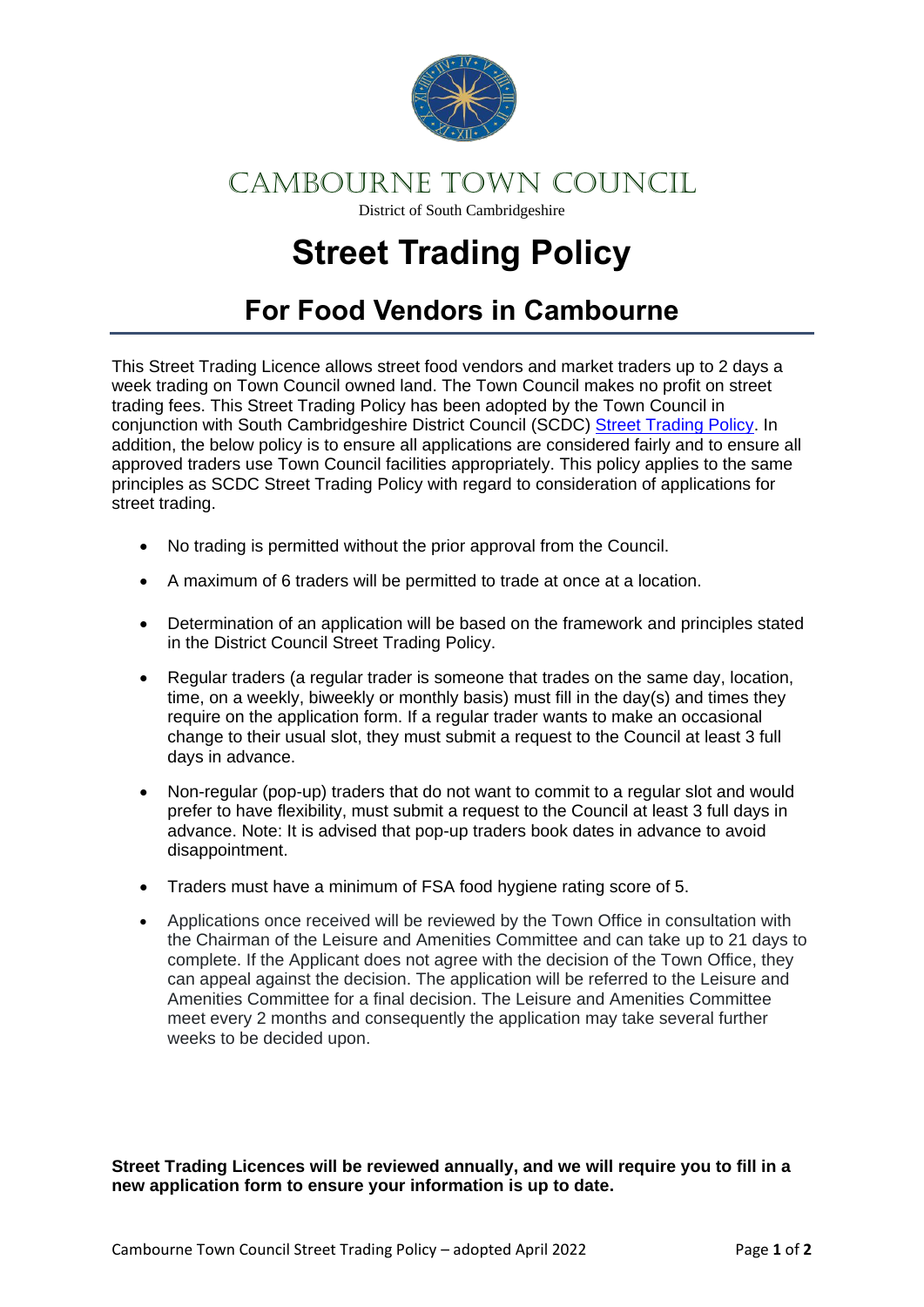

### CAMBOURNE TOWN COUNCIL

District of South Cambridgeshire

# **Street Trading Policy**

## **For Food Vendors in Cambourne**

This Street Trading Licence allows street food vendors and market traders up to 2 days a week trading on Town Council owned land. The Town Council makes no profit on street trading fees. This Street Trading Policy has been adopted by the Town Council in conjunction with South Cambridgeshire District Council (SCDC) [Street Trading Policy.](https://www.scambs.gov.uk/media/19579/street-trading-policy-march-2022.pdf) In addition, the below policy is to ensure all applications are considered fairly and to ensure all approved traders use Town Council facilities appropriately. This policy applies to the same principles as SCDC Street Trading Policy with regard to consideration of applications for street trading.

- No trading is permitted without the prior approval from the Council.
- A maximum of 6 traders will be permitted to trade at once at a location.
- Determination of an application will be based on the framework and principles stated in the District Council Street Trading Policy.
- Regular traders (a regular trader is someone that trades on the same day, location, time, on a weekly, biweekly or monthly basis) must fill in the day(s) and times they require on the application form. If a regular trader wants to make an occasional change to their usual slot, they must submit a request to the Council at least 3 full days in advance.
- Non-regular (pop-up) traders that do not want to commit to a regular slot and would prefer to have flexibility, must submit a request to the Council at least 3 full days in advance. Note: It is advised that pop-up traders book dates in advance to avoid disappointment.
- Traders must have a minimum of FSA food hygiene rating score of 5.
- Applications once received will be reviewed by the Town Office in consultation with the Chairman of the Leisure and Amenities Committee and can take up to 21 days to complete. If the Applicant does not agree with the decision of the Town Office, they can appeal against the decision. The application will be referred to the Leisure and Amenities Committee for a final decision. The Leisure and Amenities Committee meet every 2 months and consequently the application may take several further weeks to be decided upon.

**Street Trading Licences will be reviewed annually, and we will require you to fill in a new application form to ensure your information is up to date.**